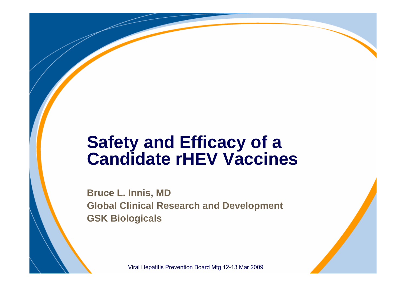# **Safety and Efficacy of a Candidate rHEV Vaccines**

**Bruce L. Innis, MD Global Clinical Research and Development GSK Biologicals**

Viral Hepatitis Prevention Board Mtg 12-13 Mar 2009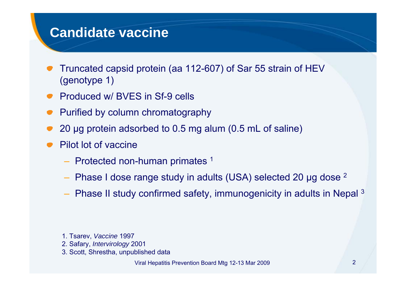#### **Candidate vaccine**

- Truncated capsid protein (aa 112-607) of Sar 55 strain of HEV (genotype 1)
- Produced w/ BVES in Sf-9 cells
- Purified by column chromatography
- 20 μg protein adsorbed to 0.5 mg alum (0.5 mL of saline)
- Pilot lot of vaccine
	- Protected non-human primates 1
	- Phase I dose range study in adults (USA) selected 20 μg dose 2
	- Phase II study confirmed safety, immunogenicity in adults in Nepal 3

- 1. Tsarev, *Vaccine* 1997
- 2. Safary, *Intervirology* 2001
- 3. Scott, Shrestha, unpublished data

Viral Hepatitis Prevention Board Mtg 12-13 Mar 2009 2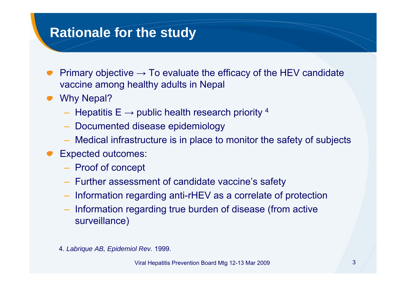#### **Rationale for the study**

- Primary objective  $\rightarrow$  To evaluate the efficacy of the HEV candidate vaccine among healthy adults in Nepal
- Why Nepal?
	- $-$  Hepatitis E  $\rightarrow$  public health research priority  $^4$
	- –Documented disease epidemiology
	- Medical infrastructure is in place to monitor the safety of subjects
- Expected outcomes:
	- $-$  Proof of concept
	- Further assessment of candidate vaccine's safety
	- –Information regarding anti-rHEV as a correlate of protection
	- $-$  Information regarding true burden of disease (from active surveillance)
	- 4. *Labrique AB, Epidemiol Rev.* 1999.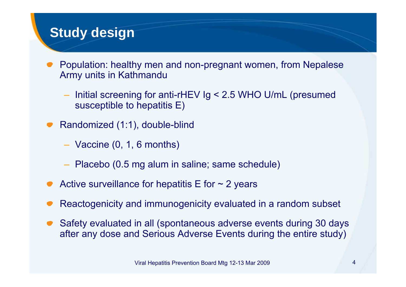#### **Study design**

- Population: healthy men and non-pregnant women, from Nepalese Army units in Kathmandu
	- – Initial screening for anti-rHEV Ig < 2.5 WHO U/mL (presumed susceptible to hepatitis E)
- Randomized (1:1), double-blind
	- Vaccine (0, 1, 6 months)
	- Placebo (0.5 mg alum in saline; same schedule)
- Active surveillance for hepatitis  $E$  for  $\sim$  2 years
- Reactogenicity and immunogenicity evaluated in a random subset
- Safety evaluated in all (spontaneous adverse events during 30 days after any dose and Serious Adverse Events during the entire study)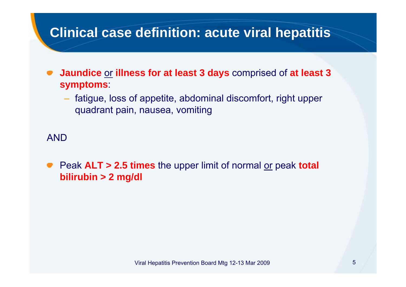## **Clinical case definition: acute viral hepatitis**

- **Jaundice** or **illness for at least 3 days** comprised of **at least 3 symptoms**:
	- fatigue, loss of appetite, abdominal discomfort, right upper quadrant pain, nausea, vomiting

AND

Peak **ALT > 2.5 times** the upper limit of normal or peak **total bilirubin > 2 mg/dl**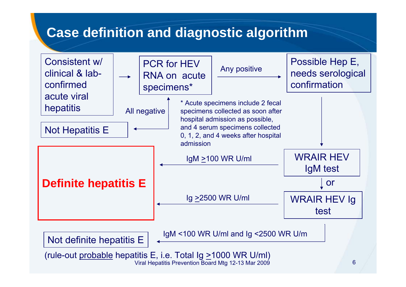## **Case definition and diagnostic algorithm**

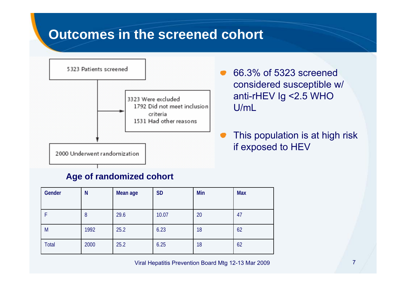#### **Outcomes in the screened cohort**



66.3% of 5323 screened considered susceptible w/ anti-rHEV Ig <2.5 WHO U/mL

This population is at high risk if exposed to HEV

#### **Age of randomized cohort**

| Gender | N    | Mean age | <b>SD</b> | Min | <b>Max</b> |
|--------|------|----------|-----------|-----|------------|
|        | 8    | 29.6     | 10.07     | 20  | 47         |
| M      | 1992 | 25.2     | 6.23      | 18  | 62         |
| Total  | 2000 | 25.2     | 6.25      | 18  | 62         |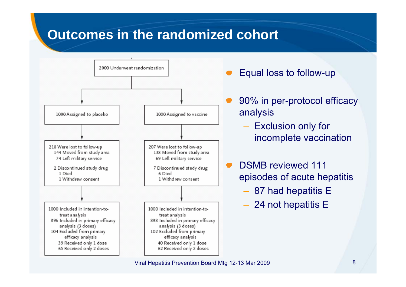#### **Outcomes in the randomized cohort**



Equal loss to follow-up

- 90% in per-protocol efficacy analysis
	- $-$  Exclusion only for incomplete vaccination
- DSMB reviewed 111 episodes of acute hepatitis
	- 87 had hepatitis E
	- 24 not hepatitis E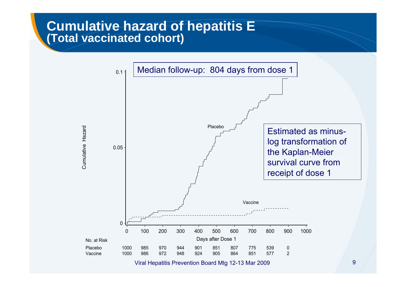#### **Cumulative hazard of hepatitis E (Total vaccinated cohort)**



Viral Hepatitis Prevention Board Mtg 12-13 Mar 2009 9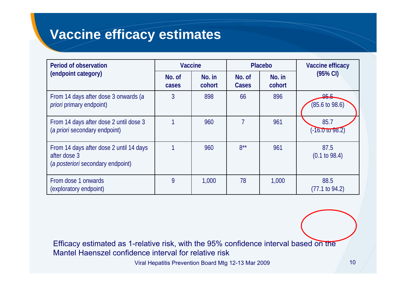#### **Vaccine efficacy estimates**

| <b>Period of observation</b>                                                                 | <b>Vaccine</b>  |                  | <b>Placebo</b>  |                  | Vaccine efficacy                  |  |
|----------------------------------------------------------------------------------------------|-----------------|------------------|-----------------|------------------|-----------------------------------|--|
| (endpoint category)                                                                          | No. of<br>cases | No. in<br>cohort | No. of<br>Cases | No. in<br>cohort | $(95% \text{ Cl})$                |  |
| From 14 days after dose 3 onwards (a<br><i>priori</i> primary endpoint)                      | 3               | 898              | 66              | 896              | 95.5<br>$(85.6 \text{ to } 98.6)$ |  |
| From 14 days after dose 2 until dose 3<br>(a priori secondary endpoint)                      |                 | 960              |                 | 961              | 85.7<br>$(-16.01098.2)$           |  |
| From 14 days after dose 2 until 14 days<br>after dose 3<br>(a posteriori secondary endpoint) |                 | 960              | $8***$          | 961              | 87.5<br>$(0.1 \text{ to } 98.4)$  |  |
| From dose 1 onwards<br>(exploratory endpoint)                                                | 9               | 1,000            | 78              | 1,000            | 88.5<br>$(77.1 \text{ to } 94.2)$ |  |

Efficacy estimated as 1-relative risk, with the 95% confidence interval based on the Mantel Haenszel confidence interval for relative risk

Viral Hepatitis Prevention Board Mtg 12-13 Mar 2009 10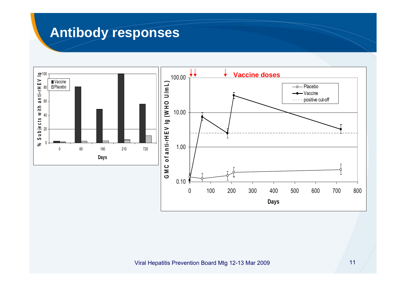#### **Antibody responses**

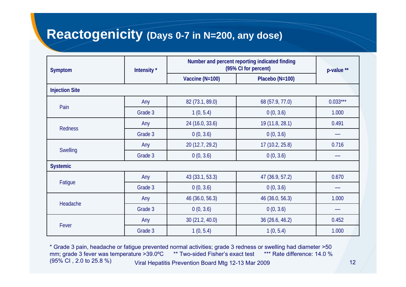#### **Reactogenicity (Days 0-7 in N=200, any dose)**

| Symptom               | Intensity* | Number and percent reporting indicated finding<br>(95% CI for percent) | p-value <sup>**</sup> |            |  |  |  |  |  |  |  |
|-----------------------|------------|------------------------------------------------------------------------|-----------------------|------------|--|--|--|--|--|--|--|
|                       |            | Vaccine (N=100)                                                        | Placebo (N=100)       |            |  |  |  |  |  |  |  |
| <b>Injection Site</b> |            |                                                                        |                       |            |  |  |  |  |  |  |  |
| Pain                  | Any        | 82 (73.1, 89.0)                                                        | 68 (57.9, 77.0)       | $0.033***$ |  |  |  |  |  |  |  |
|                       | Grade 3    | 1(0, 5.4)                                                              | 0(0, 3.6)             | 1.000      |  |  |  |  |  |  |  |
|                       | Any        | 24 (16.0, 33.6)                                                        | 19 (11.8, 28.1)       | 0.491      |  |  |  |  |  |  |  |
| Redness               | Grade 3    | 0(0, 3.6)                                                              | 0(0, 3.6)             |            |  |  |  |  |  |  |  |
|                       | Any        | 20 (12.7, 29.2)                                                        | 17(10.2, 25.8)        | 0.716      |  |  |  |  |  |  |  |
| Swelling              | Grade 3    | 0(0, 3.6)                                                              | 0(0, 3.6)             |            |  |  |  |  |  |  |  |
| <b>Systemic</b>       |            |                                                                        |                       |            |  |  |  |  |  |  |  |
|                       | Any        | 43 (33.1, 53.3)                                                        | 47 (36.9, 57.2)       | 0.670      |  |  |  |  |  |  |  |
| Fatigue               | Grade 3    | 0(0, 3.6)                                                              | 0(0, 3.6)             |            |  |  |  |  |  |  |  |
|                       | Any        | 46 (36.0, 56.3)                                                        | 46 (36.0, 56.3)       | 1.000      |  |  |  |  |  |  |  |
| Headache              | Grade 3    | 0(0, 3.6)                                                              | 0(0, 3.6)             |            |  |  |  |  |  |  |  |
|                       | Any        | 30(21.2, 40.0)                                                         | 36 (26.6, 46.2)       | 0.452      |  |  |  |  |  |  |  |
| Fever                 | Grade 3    | 1(0, 5.4)                                                              | 1(0, 5.4)             | 1.000      |  |  |  |  |  |  |  |

Viral Hepatitis Prevention Board Mtg 12-13 Mar 2009 12 \* Grade 3 pain, headache or fatigue prevented normal activities; grade 3 redness or swelling had diameter >50 mm; grade 3 fever was temperature >39.0°C \*\* Two-sided Fisher's exact test \*\*\* Rate difference: 14.0 % (95% CI , 2.0 to 25.8 %)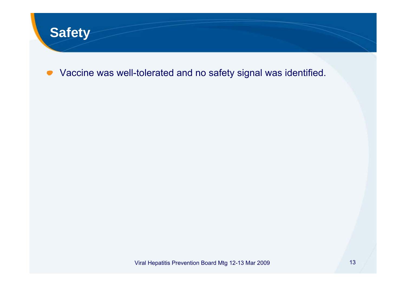

Vaccine was well-tolerated and no safety signal was identified.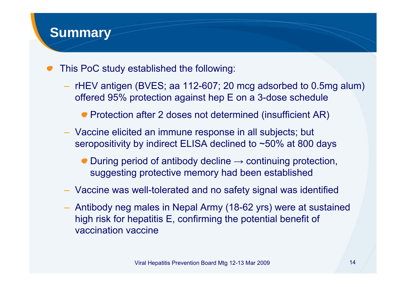#### **Summary**

- This PoC study established the following:
	- rHEV antigen (BVES; aa 112-607; 20 mcg adsorbed to 0.5mg alum) offered 95% protection against hep E on a 3-dose schedule
		- Protection after 2 doses not determined (insufficient AR)
	- Vaccine elicited an immune response in all subjects; but seropositivity by indirect ELISA declined to ~50% at 800 days
		- $\bullet$  During period of antibody decline  $\rightarrow$  continuing protection, suggesting protective memory had been established
	- Vaccine was well-tolerated and no safety signal was identified
	- Antibody neg males in Nepal Army (18-62 yrs) were at sustained high risk for hepatitis E, confirming the potential benefit of vaccination vaccine